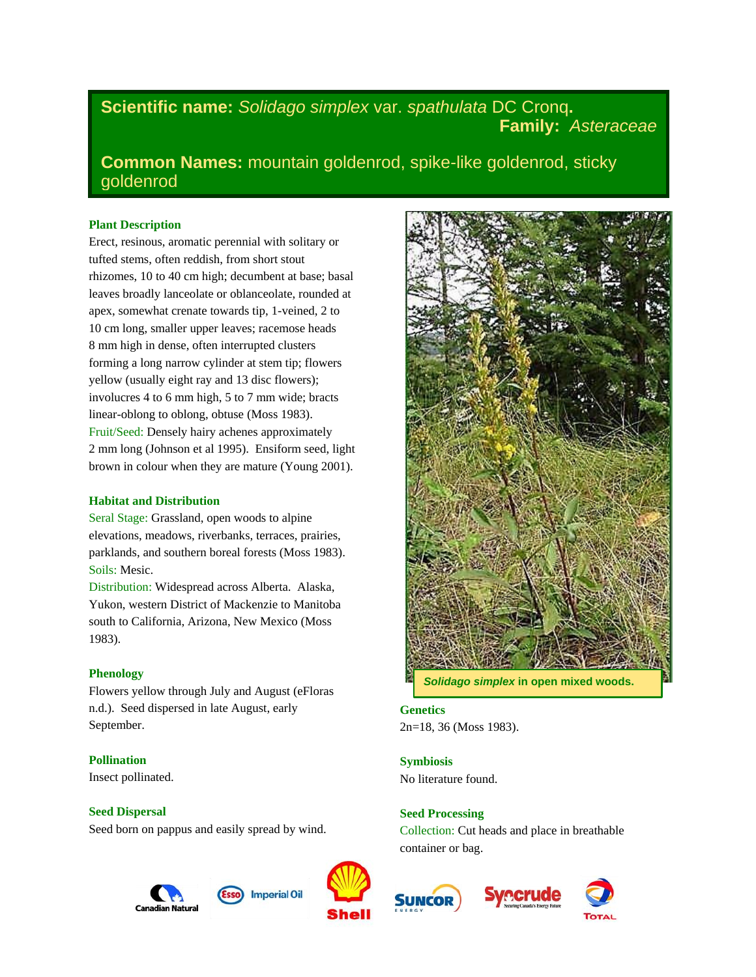# **Scientific name:** *Solidago simplex* var. *spathulata* DC Cronq**. Family:** *Asteraceae*

**Common Names:** mountain goldenrod, spike-like goldenrod, sticky goldenrod

## **Plant Description**

Erect, resinous, aromatic perennial with solitary or tufted stems, often reddish, from short stout rhizomes, 10 to 40 cm high; decumbent at base; basal leaves broadly lanceolate or oblanceolate, rounded at apex, somewhat crenate towards tip, 1-veined, 2 to 10 cm long, smaller upper leaves; racemose heads 8 mm high in dense, often interrupted clusters forming a long narrow cylinder at stem tip; flowers yellow (usually eight ray and 13 disc flowers); involucres 4 to 6 mm high, 5 to 7 mm wide; bracts linear-oblong to oblong, obtuse (Moss 1983). Fruit/Seed: Densely hairy achenes approximately 2 mm long (Johnson et al 1995). Ensiform seed, light brown in colour when they are mature (Young 2001).

#### **Habitat and Distribution**

Seral Stage: Grassland, open woods to alpine elevations, meadows, riverbanks, terraces, prairies, parklands, and southern boreal forests (Moss 1983). Soils: Mesic.

Distribution: Widespread across Alberta. Alaska, Yukon, western District of Mackenzie to Manitoba south to California, Arizona, New Mexico (Moss 1983).

# **Phenology**

Flowers yellow through July and August (eFloras n.d.). Seed dispersed in late August, early September.

**Pollination**

Insect pollinated.

**Seed Dispersal** Seed born on pappus and easily spread by wind.







*Solidago simplex* **in open mixed woods.**

# **Genetics**

2n=18, 36 (Moss 1983).

# **Symbiosis**

No literature found.

# **Seed Processing**

Collection: Cut heads and place in breathable container or bag.



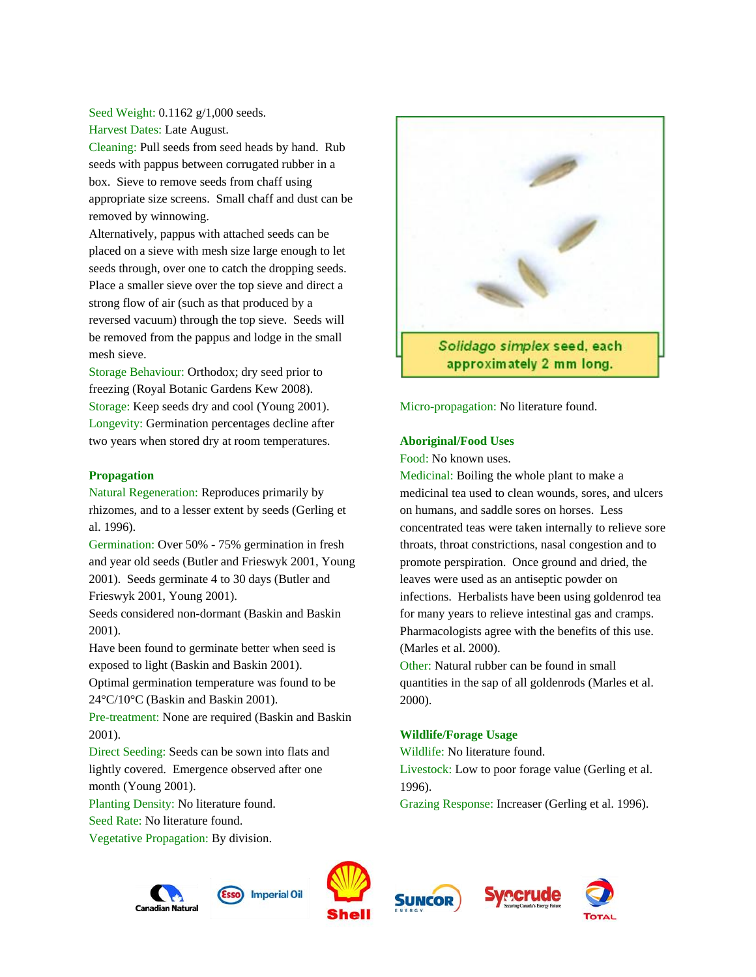Seed Weight: 0.1162 g/1,000 seeds.

Harvest Dates: Late August.

Cleaning: Pull seeds from seed heads by hand. Rub seeds with pappus between corrugated rubber in a box. Sieve to remove seeds from chaff using appropriate size screens. Small chaff and dust can be removed by winnowing.

Alternatively, pappus with attached seeds can be placed on a sieve with mesh size large enough to let seeds through, over one to catch the dropping seeds. Place a smaller sieve over the top sieve and direct a strong flow of air (such as that produced by a reversed vacuum) through the top sieve. Seeds will be removed from the pappus and lodge in the small mesh sieve.

Storage Behaviour: Orthodox; dry seed prior to freezing (Royal Botanic Gardens Kew 2008). Storage: Keep seeds dry and cool (Young 2001). Longevity: Germination percentages decline after two years when stored dry at room temperatures.

# **Propagation**

Natural Regeneration: Reproduces primarily by rhizomes, and to a lesser extent by seeds (Gerling et al. 1996).

Germination: Over 50% - 75% germination in fresh and year old seeds (Butler and Frieswyk 2001, Young 2001). Seeds germinate 4 to 30 days (Butler and Frieswyk 2001, Young 2001).

Seeds considered non-dormant (Baskin and Baskin 2001).

Have been found to germinate better when seed is exposed to light (Baskin and Baskin 2001).

Optimal germination temperature was found to be 24°C/10°C (Baskin and Baskin 2001).

Pre-treatment: None are required (Baskin and Baskin 2001).

Direct Seeding: Seeds can be sown into flats and lightly covered. Emergence observed after one month (Young 2001).

Planting Density: No literature found.

Seed Rate: No literature found.

Vegetative Propagation: By division.



Micro-propagation: No literature found.

# **Aboriginal/Food Uses**

Food: No known uses.

Medicinal: Boiling the whole plant to make a medicinal tea used to clean wounds, sores, and ulcers on humans, and saddle sores on horses. Less concentrated teas were taken internally to relieve sore throats, throat constrictions, nasal congestion and to promote perspiration. Once ground and dried, the leaves were used as an antiseptic powder on infections. Herbalists have been using goldenrod tea for many years to relieve intestinal gas and cramps. Pharmacologists agree with the benefits of this use. (Marles et al. 2000).

Other: Natural rubber can be found in small quantities in the sap of all goldenrods (Marles et al. 2000).

# **Wildlife/Forage Usage**

Wildlife: No literature found.

Livestock: Low to poor forage value (Gerling et al. 1996).

Grazing Response: Increaser (Gerling et al. 1996).